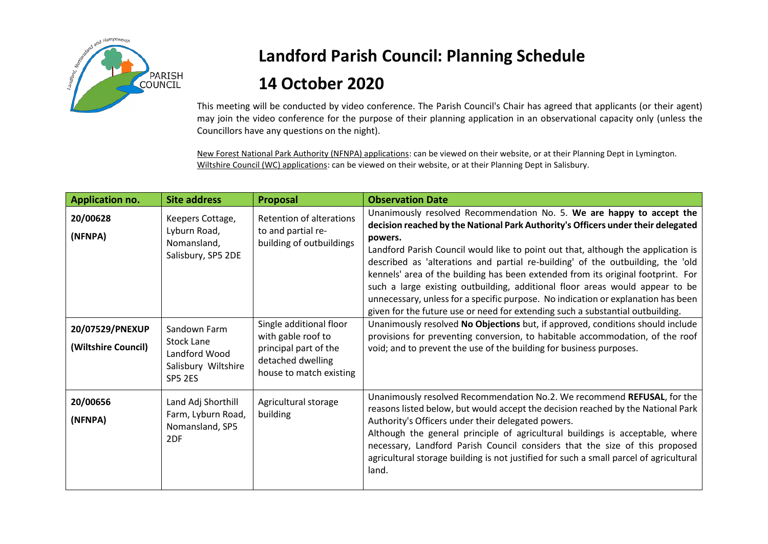

## **Landford Parish Council: Planning Schedule 14 October 2020**

This meeting will be conducted by video conference. The Parish Council's Chair has agreed that applicants (or their agent) may join the video conference for the purpose of their planning application in an observational capacity only (unless the Councillors have any questions on the night).

New Forest National Park Authority (NFNPA) applications: can be viewed on their website, or at their Planning Dept in Lymington. Wiltshire Council (WC) applications: can be viewed on their website, or at their Planning Dept in Salisbury.

| <b>Application no.</b>                 | <b>Site address</b>                                                                  | Proposal                                                                                                               | <b>Observation Date</b>                                                                                                                                                                                                                                                                                                                                                                                                                                                                                                                                                                                                                                                                 |
|----------------------------------------|--------------------------------------------------------------------------------------|------------------------------------------------------------------------------------------------------------------------|-----------------------------------------------------------------------------------------------------------------------------------------------------------------------------------------------------------------------------------------------------------------------------------------------------------------------------------------------------------------------------------------------------------------------------------------------------------------------------------------------------------------------------------------------------------------------------------------------------------------------------------------------------------------------------------------|
| 20/00628<br>(NFNPA)                    | Keepers Cottage,<br>Lyburn Road,<br>Nomansland,<br>Salisbury, SP5 2DE                | <b>Retention of alterations</b><br>to and partial re-<br>building of outbuildings                                      | Unanimously resolved Recommendation No. 5. We are happy to accept the<br>decision reached by the National Park Authority's Officers under their delegated<br>powers.<br>Landford Parish Council would like to point out that, although the application is<br>described as 'alterations and partial re-building' of the outbuilding, the 'old<br>kennels' area of the building has been extended from its original footprint. For<br>such a large existing outbuilding, additional floor areas would appear to be<br>unnecessary, unless for a specific purpose. No indication or explanation has been<br>given for the future use or need for extending such a substantial outbuilding. |
| 20/07529/PNEXUP<br>(Wiltshire Council) | Sandown Farm<br>Stock Lane<br>Landford Wood<br>Salisbury Wiltshire<br><b>SP5 2ES</b> | Single additional floor<br>with gable roof to<br>principal part of the<br>detached dwelling<br>house to match existing | Unanimously resolved No Objections but, if approved, conditions should include<br>provisions for preventing conversion, to habitable accommodation, of the roof<br>void; and to prevent the use of the building for business purposes.                                                                                                                                                                                                                                                                                                                                                                                                                                                  |
| 20/00656<br>(NFNPA)                    | Land Adj Shorthill<br>Farm, Lyburn Road,<br>Nomansland, SP5<br>2DF                   | Agricultural storage<br>building                                                                                       | Unanimously resolved Recommendation No.2. We recommend REFUSAL, for the<br>reasons listed below, but would accept the decision reached by the National Park<br>Authority's Officers under their delegated powers.<br>Although the general principle of agricultural buildings is acceptable, where<br>necessary, Landford Parish Council considers that the size of this proposed<br>agricultural storage building is not justified for such a small parcel of agricultural<br>land.                                                                                                                                                                                                    |